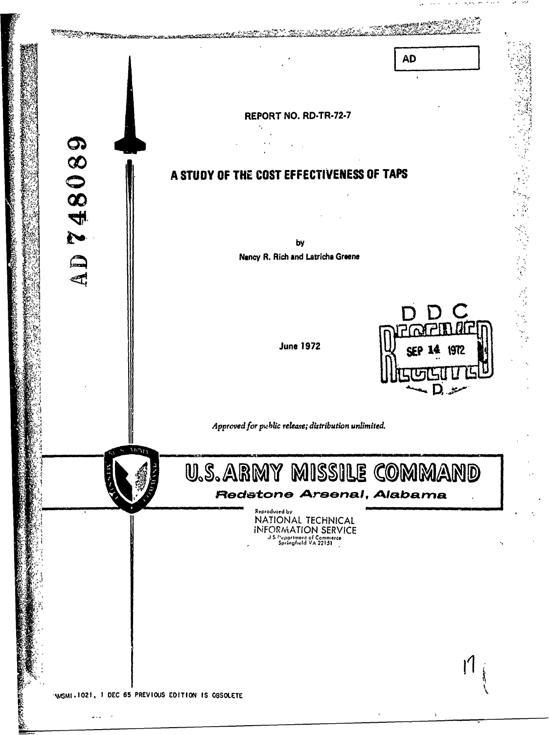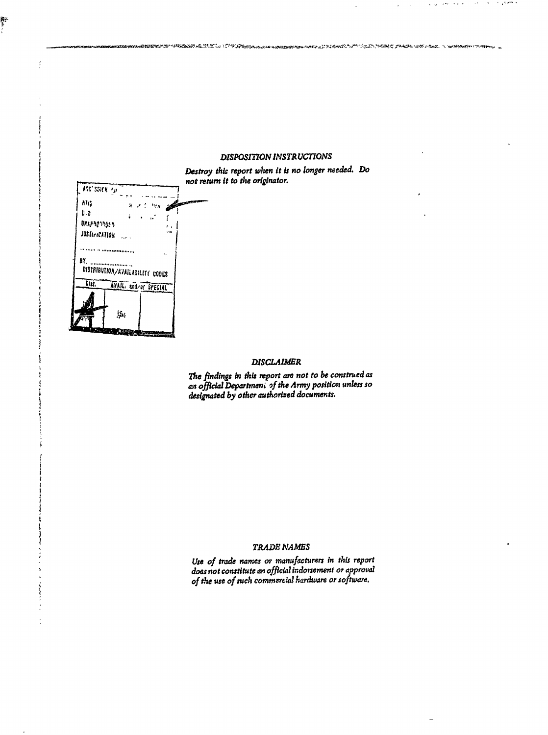## **DISPOSITION INSTRUCTIONS**

ጞ፟ዾ፟ጜ፨ፙፚጟዹቚቚዸፘቝዸ፝ቜ፼ቑዸ፝ቚዄ፝፞ቜጜ

sera al Maderik

まちょうこく こうきょう パイプリンク いちょうかい けいじゅう たいきょう

![](_page_1_Figure_1.jpeg)

es<br>L

 $\ddot{\ddot{\ }}$ 

Destroy this report when it is no longer needed. Do not return it to the originator.

## **DISCLAIMER**

The findings in this report are not to be construed as<br>an official Department of the Army position unless so<br>designated by other authorized documents.

#### TRADE NAMES

Use of trade names or manufacturers in this report<br>does not constitute an official indorsement or approval of the use of such commercial hardware or software.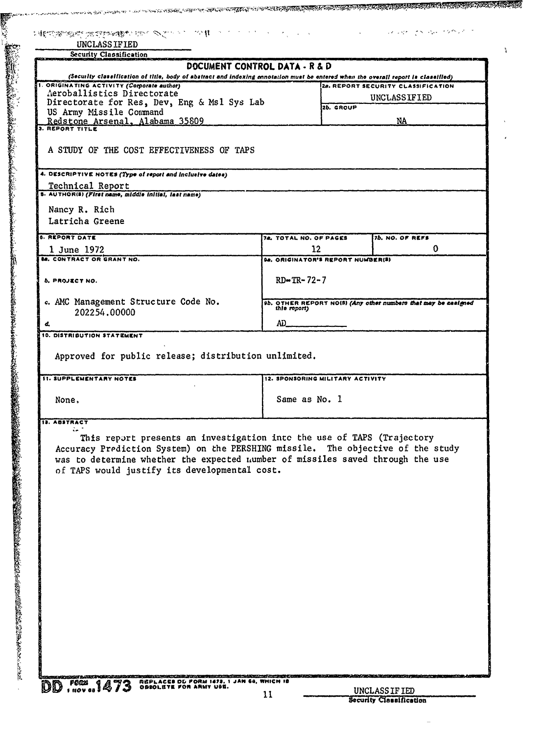| UNCLASSIFIED                                                                                                                                                                     |                                         |           | ままには、その他のことをする。 しょうかん アイディア アイディア アイディア アイディア アイディア アイディア アイディア アイディア・マイディア |
|----------------------------------------------------------------------------------------------------------------------------------------------------------------------------------|-----------------------------------------|-----------|-----------------------------------------------------------------------------|
| <b>Security Classification</b>                                                                                                                                                   |                                         |           |                                                                             |
|                                                                                                                                                                                  | DOCUMENT CONTROL DATA - R & D           |           |                                                                             |
| (Security classification of title, body of abstract and indexing ennotation must be entered when the overall report is classified)<br>1. ORIGINATING ACTIVITY (Corporate author) |                                         |           | 2a. REPORT SECURITY CLASSIFICATION                                          |
| Aeroballistics Directorate                                                                                                                                                       |                                         |           | UNCLASSIFIED                                                                |
| Directorate for Res, Dev, Eng & Ms1 Sys Lab                                                                                                                                      |                                         | 2b. GROUP |                                                                             |
| US Army Missile Command<br>Redstone Arsenal, Alabama 35809                                                                                                                       |                                         |           | NA                                                                          |
| 3. REPORT TITLE                                                                                                                                                                  |                                         |           |                                                                             |
| A STUDY OF THE COST EFFECTIVENESS OF TAPS                                                                                                                                        |                                         |           |                                                                             |
| 4. DESCRIPTIVE NOTES (Type of report and inclusive dates)                                                                                                                        |                                         |           |                                                                             |
| Technical Report                                                                                                                                                                 |                                         |           |                                                                             |
| 5. AUTHOR(S) (First name, middle initial, last name)                                                                                                                             |                                         |           |                                                                             |
| Nancy R. Rich                                                                                                                                                                    |                                         |           |                                                                             |
| Latricha Greene                                                                                                                                                                  |                                         |           |                                                                             |
| <b>6. REPORT DATE</b>                                                                                                                                                            |                                         |           |                                                                             |
|                                                                                                                                                                                  | 74. TOTAL NO. OF PAGES                  |           | 7b. NO. OF REFS<br>$\bf{0}$                                                 |
| 1 June 1972<br><b>88. CONTRACT OR GRANT NO.</b>                                                                                                                                  | 12<br>98. ORIGINATOR'S REPORT NUMBER(S) |           |                                                                             |
|                                                                                                                                                                                  |                                         |           |                                                                             |
| <b>b. PROJECT NO.</b>                                                                                                                                                            | $RD - TR - 72 - 7$                      |           |                                                                             |
| c. AMC Management Structure Code No.                                                                                                                                             |                                         |           | 9b. OTHER REPORT NO(5) (Any other numbers that may be nealgoed this report) |
| 202254.00000                                                                                                                                                                     | AD.                                     |           |                                                                             |
| 10. DISTRIBUTION STATEMENT                                                                                                                                                       |                                         |           |                                                                             |
| <b>11. SUPPLEMENTARY NOTES</b>                                                                                                                                                   | 12. SPONSORING MILITARY ACTIVITY        |           |                                                                             |
| None.                                                                                                                                                                            | Same as No. 1                           |           |                                                                             |
| <b>13. ABSTRACT</b>                                                                                                                                                              |                                         |           |                                                                             |
| ù.<br>This report presents an investigation into the use of TAPS (Trajectory                                                                                                     |                                         |           |                                                                             |
| Accuracy Prediction System) on the PERSHING missile. The objective of the study                                                                                                  |                                         |           |                                                                             |
|                                                                                                                                                                                  |                                         |           |                                                                             |
| was to determine whether the expected number of missiles saved through the use                                                                                                   |                                         |           |                                                                             |
| of TAPS would justify its developmental cost.                                                                                                                                    |                                         |           |                                                                             |
|                                                                                                                                                                                  |                                         |           |                                                                             |
|                                                                                                                                                                                  |                                         |           |                                                                             |
|                                                                                                                                                                                  |                                         |           |                                                                             |
|                                                                                                                                                                                  |                                         |           |                                                                             |
|                                                                                                                                                                                  |                                         |           |                                                                             |
|                                                                                                                                                                                  |                                         |           |                                                                             |
|                                                                                                                                                                                  |                                         |           |                                                                             |
|                                                                                                                                                                                  |                                         |           |                                                                             |
|                                                                                                                                                                                  |                                         |           |                                                                             |
|                                                                                                                                                                                  |                                         |           |                                                                             |
|                                                                                                                                                                                  |                                         |           |                                                                             |
|                                                                                                                                                                                  |                                         |           |                                                                             |
|                                                                                                                                                                                  |                                         |           |                                                                             |
|                                                                                                                                                                                  |                                         |           |                                                                             |
|                                                                                                                                                                                  |                                         |           |                                                                             |

 $\frac{1}{4}$ 

فركضك بالمستحد بينه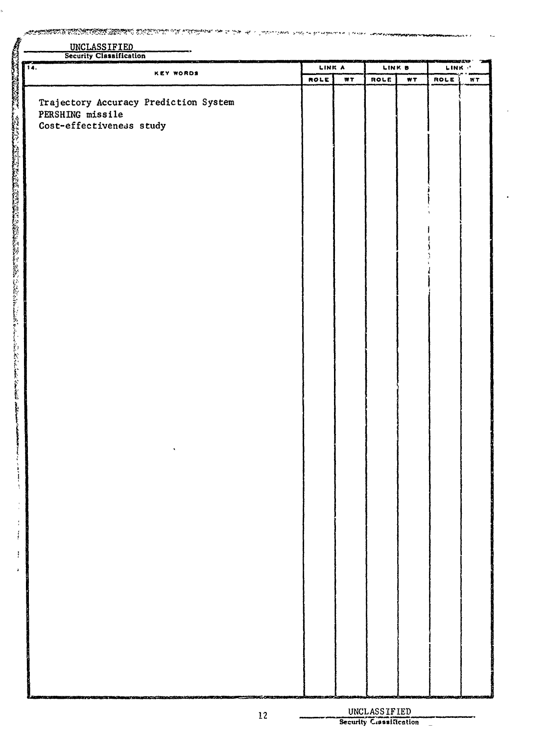<u> Kanada ya Manazi (Katika Manazi Katika Katika Katika Ka</u>  $\mathbb{Z}^{\frac{1}{2}}$ ÷ē ria ve waxa iyo waxa

| UNCLASSIFIED<br>Security Classification |             |     |        |     |                          |    |
|-----------------------------------------|-------------|-----|--------|-----|--------------------------|----|
| $\overline{\mathbf{a}}$ .               | LINK A      |     | LINK B |     | <b>TEMPASY</b><br>LINK C |    |
| <b>KEY WORDS</b>                        | <b>ROLE</b> | WT. | ROLE   | WT. | <b>ROLE</b>              | WΤ |
|                                         |             |     |        |     |                          |    |
| Trajectory Accuracy Prediction System   |             |     |        |     |                          |    |
| PERSHING missile                        |             |     |        |     |                          |    |
| Cost-effectiveness study                |             |     |        |     |                          |    |
|                                         |             |     |        |     |                          |    |
|                                         |             |     |        |     |                          |    |
|                                         |             |     |        |     |                          |    |
|                                         |             |     |        |     |                          |    |
|                                         |             |     |        |     |                          |    |
|                                         |             |     |        |     |                          |    |
|                                         |             |     |        |     |                          |    |
|                                         |             |     |        |     |                          |    |
|                                         |             |     |        |     |                          |    |
|                                         |             |     |        |     |                          |    |
|                                         |             |     |        |     |                          |    |
|                                         |             |     |        |     |                          |    |
|                                         |             |     |        |     |                          |    |
|                                         |             |     |        |     |                          |    |
|                                         |             |     |        |     |                          |    |
|                                         |             |     |        |     |                          |    |
|                                         |             |     |        |     |                          |    |
|                                         |             |     |        |     |                          |    |
|                                         |             |     |        |     |                          |    |
|                                         |             |     |        |     |                          |    |
|                                         |             |     |        |     |                          |    |
|                                         |             |     |        |     |                          |    |
|                                         |             |     |        |     |                          |    |
|                                         |             |     |        |     |                          |    |
|                                         |             |     |        |     |                          |    |
|                                         |             |     |        |     |                          |    |
|                                         |             |     |        |     |                          |    |
|                                         |             |     |        |     |                          |    |
|                                         |             |     |        |     |                          |    |
|                                         |             |     |        |     |                          |    |
|                                         |             |     |        |     |                          |    |
|                                         |             |     |        |     |                          |    |
|                                         |             |     |        |     |                          |    |
|                                         |             |     |        |     |                          |    |
|                                         |             |     |        |     |                          |    |
|                                         |             |     |        |     |                          |    |
|                                         |             |     |        |     |                          |    |
|                                         |             |     |        |     |                          |    |
|                                         |             |     |        |     |                          |    |
|                                         |             |     |        |     |                          |    |
|                                         |             |     |        |     |                          |    |
|                                         |             |     |        |     |                          |    |
|                                         |             |     |        |     |                          |    |
|                                         |             |     |        |     |                          |    |

を受けていることで、そのことで、このことで、このことに、そのことが、行政などのことになっていることが、いっということになっています。 こうしょうけんこう アイディア タータバ そうでん そうでん こうしょう こうしょう しゅうしょう こうしょう こうしょう こうしょう こうしょう こうしょう こうしょう

 $\frac{1}{2}$  $\frac{1}{2}$ 

 $\frac{1}{2}$  $\lambda$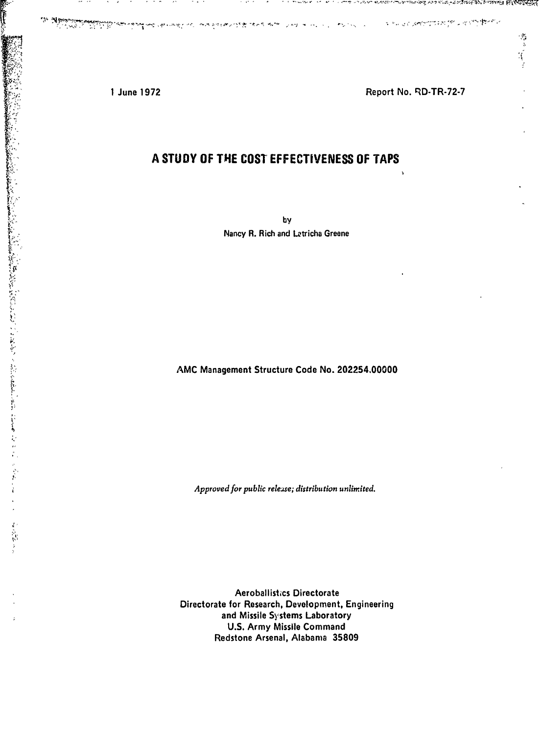in a module on an ruleng ungage

**のことをすることに、「アンドランド」の「アンドランド」ということをすることになるようになっているのです。** 

j

 $\mathcal{I}$ Ŵ

والمناقض والمناقض

1 June 1972 **Report No. Report No. RD-TR-72-7** 

 $\ddot{\phantom{0}}$ 

મેખ્યા જિલ્લાની સ્થાપ

修改 

# A STUDY OF **THE** COST EFFECTIVENESS OF TAPS

**by** Nancy R. Rich and Letricha Greene

AMC Management Structure Code No. 202254,00000

*Approved for public release; distribution unlimited.*

Aeroballistics Directorate Directorate for Research, Development, Engineering and Missile Systems Laboratory U.S. Army Missile Command Redstone Arsenal, Alabama 35809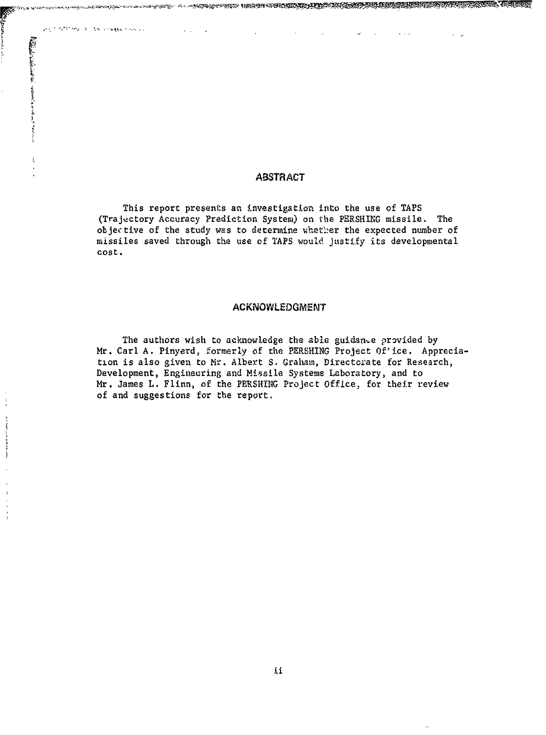## ABSTRACT

ANY METHOD COST PARKETING IS

**All Contractions of the State of Contractions of the Contractions** 

This report presents an investigation into the use of TAPS (Trajectory Accuracy Prediction System) on the PERSHING missile. The objective of the study was to determine uhetler the expected number of missiles saved through the use of TAPS would Justify its developmental cost.

## ACKNOWLEDGMENT

The authors wish to acknowledge the able guidan.e provided by Mr. Carl A. Pinyerd, formerly of the PERSHING Project Of'ice. Appreciation is also given to Mr. Albert S. Graham, Directorate for Research, Development, Engineering and Missile Systems Laboratory, and to Mr. James L. Flinn, of the PERSHING Project Office, for their review of and suggestions for the report,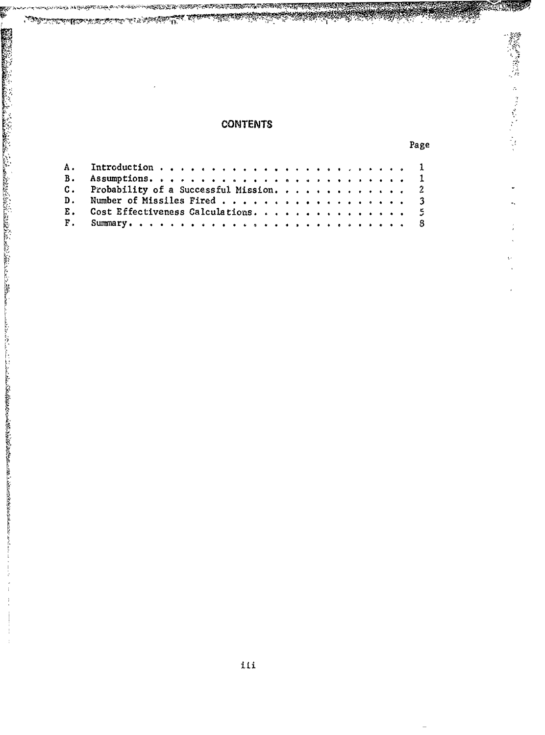## **CONTENTS**

SENTAN TAHUN KANANG KANANG KANANG KANANG KANANG KANANG KANANG KANANG KANANG KANANG KANANG KANANG KANANG KANANG<br>KANANG KANANG KANANG KANANG KANANG KANANG KANANG KANANG KANANG KANANG KANANG KANANG KANANg KANANg KANANg KANAN

5

| C. Probability of a Successful Mission. 2 |  |
|-------------------------------------------|--|
|                                           |  |
| E. Cost Effectiveness Calculations5       |  |
|                                           |  |

يها الاناليجان المتعاشر المراجع

পদ্ম স্থা*ৰ প্ৰস্তুত্বিক বু*দ্ধি হৈছে

Page

<u>ang Samudi</u>

**のことに、このことに、このことに、このことに、このことに、このことに、このことに、このことに、このことに、このことに、このことに、このことに、このことに、このことに、このことに、このことに、このことに、このことに、このことに、このことに、このことに、このことに、このことに、このことに、このことに、このことに、このことに、このことに、このことに、このことに、このことに、このことに、このことに、このことに、このことに、このことに、このこ**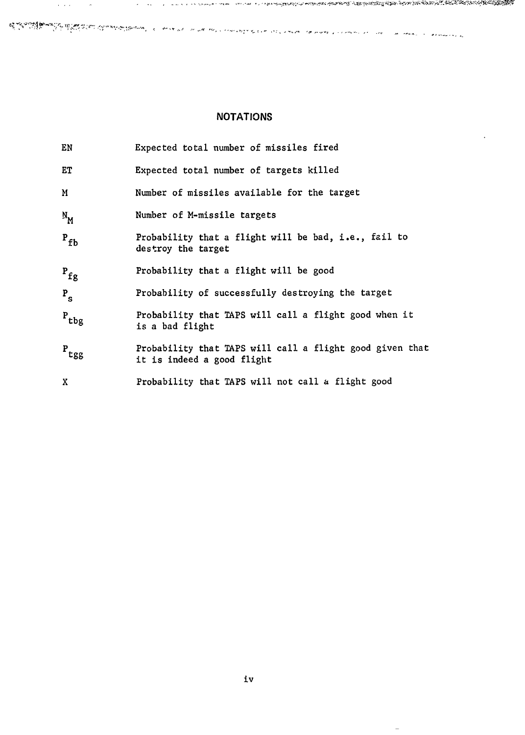## NOTATIONS

a na mara na matang katang ang mga mga karabang ang mga mga managa na na mga na mang na mangang na mang ang man

 $\cdot$ 

| EN                          | Expected total number of missiles fired                                                |
|-----------------------------|----------------------------------------------------------------------------------------|
| ET                          | Expected total number of targets killed                                                |
| M                           | Number of missiles available for the target                                            |
| $N_{\rm M}$                 | Number of M-missile targets                                                            |
| $P_{fb}$                    | Probability that a flight will be bad, i.e., fail to<br>destroy the target             |
| $P_{fg}$                    | Probability that a flight will be good                                                 |
| $P_{S}$                     | Probability of successfully destroying the target                                      |
| $\rm ^{P}$ tbg              | Probability that TAPS will call a flight good when it<br>is a bad flight               |
| $\mathbf{P}_{\texttt{tgg}}$ | Probability that TAPS will call a flight good given that<br>it is indeed a good flight |
| X                           | Probability that TAPS will not call a flight good                                      |

 $\frac{1}{\sqrt{2}}$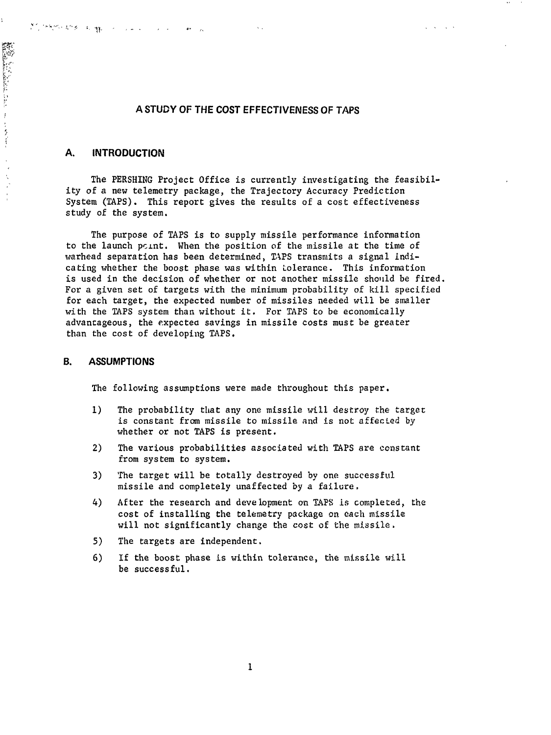## **A STUDY** OF THE **COST EFFECTIVENESS** OF **TAPS**

 $\mathbf{v}_{\rm{out}}$ 

 $\sqrt{1-\sqrt{1-\lambda}}$  ,  $\sqrt{1-\lambda}$ 

## **A. INTRODUCTION**

经控制的 经利用 化二氢化二氢化二氢

ţ.

And the second complete that is a control of the complete of the complete of the complete of the complete of the complete of the complete of the complete of the complete of the complete of the complete of the complete of t

 $\frac{1}{\sqrt{2}}$  $\bar{\zeta}$ 

The PERSHING Project Office is currently investigating the feasibility of a new telemetry package, the Trajectory Accuracy Prediction System (TAPS). This report gives the results of a cost effectiveness study of the system.

The purpose of TAPS is to supply missile performance information to the launch point. When the position of the missile at the time of warhead separation has been determined, TAPS transmits a signal indicating whether the boost phase was within Lolerance. This information is used in the decision of whether or not another missile should be fired. For a given set of targets with the minimum probability of kill specified for each target, the expected number of missiles needed will be smaller with the TAPS system than without it. For TAPS to be economically advantageous, the expectea savings in missile costs must be greater than the cost of developing TAPS.

### B. **ASSUMPTIONS**

The following assumptions were made throughout this paper.

- **1)** The probability that any one missile will destroy the target is constant from missile to missile and is not affected by whether or not TAPS is present.
- 2) The various probabilities associated with TAPS are constant from system to system.
- 3) The target will be totally destroyed by one successful missile and completely unaffected by a failure,
- 4) After the research and development on **T.APS** is completed, the cost of installing the telemetry package on each missile will not significantly change the cost of the missile.
- 5) The targets are independent.
- 6) If the boost phase is within tolerance, the missile will be successful.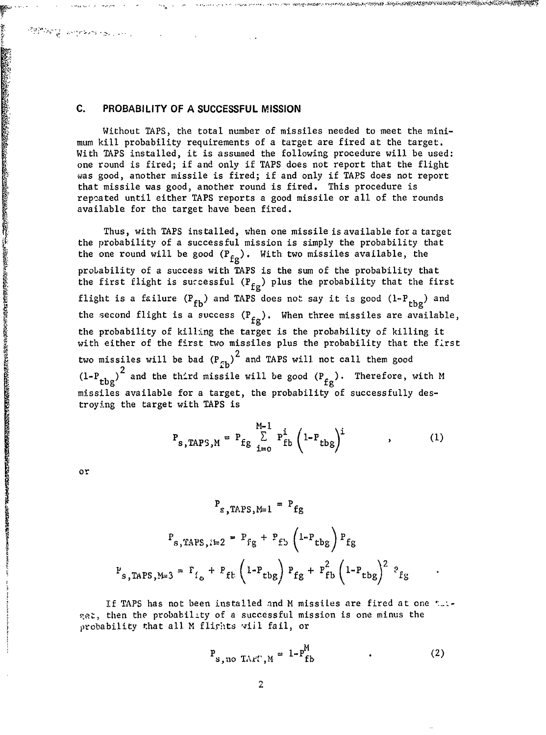### **C.** PROBABILITY OF **A SUCCESSFUL MISSION**

Without TAPS, the total number of missiles needed to meet the minimum kill probability requirements of a target are fired at the target. With TAPS installed, it is assumed the following procedure will be used: one round is fired; if and only if TAPS does not report that the flight was good, another missile is fired; if and only if TAPS does not report that missile was good, another round is fired. This procedure is repeated until either TAPS reports a good missile or all of the rounds available for the target have been fired.

\$@q&\%@@Z^\$\$@@`QX\$W@@Z`^}^\\@@@Z^@@Z^{Z`@@Z^{\$@@@Z^\

Thus, with TAPS installed, when one missile is available for a target the probability of a successful mission is simply the probability that the one round will be good  $(P_{f\sigma})$ . With two missiles available, the probability of a success with TAPS is the sum of the probability that the first flight is successful  $(P_{fg})$  plus the probability that the first flight is a failure  $(P_{fb})$  and TAPS does not say it is good  $(1-P_{thg})$  and the second flight is a success  $(P_{fg})$ . When three missiles are available, the probability of killing the target is the probability of killing it with either of the first two missiles plus the probability that the first two missiles will be bad  $\left({\rm P}_{\sigma_{\bf b}}\right)^2$  and TAPS will not call them good  $(1-P_{tbg})^2$  and the third missile will be good  $(P_{fg})$ . Therefore, with M missiles available for a target, the probability of successfully destroying the target with TAPS is

> **M<sub>-1</sub> 1** i l.th  $P_{s, TAPS, M} = P_{fg} \sum_{i=0}^{D} P_{fb}^{T} \left(1 - P_{tbg}\right)^{T}$  (1)

or

》。「一个人的人的人的人的人的人的人的人,我们就会在这个人的人的人,我们的人的人的人,我们的人们,我们的人们,我们就会在这个人的人,我们就会不是,我们的人的人,我们是不是,我们的人的人,我们的人,我们

Sales Allen Brown and Control

$$
P_{g, TAPS, M=1} = P_{fg}
$$
  

$$
P_{g, TAPS, i=2} = P_{fg} + P_{fg} \left(1 - P_{tbg}\right) P_{fg}
$$
  

$$
P_{s, TAPS, M=3} = P_{f_o} + P_{ft} \left(1 - P_{tbg}\right) P_{fg} + P_{fb}^2 \left(1 - P_{tbg}\right)^2 P_{fg}
$$

If TAPS has not been installed and M missiles are fired at one  $t_{-1}$ . , then the probability of a successful mission is one minus the probability that all M flights vill fail, or

$$
P_{s, no TAYC, M} = 1 - P_{fb}^{M}
$$
 (2)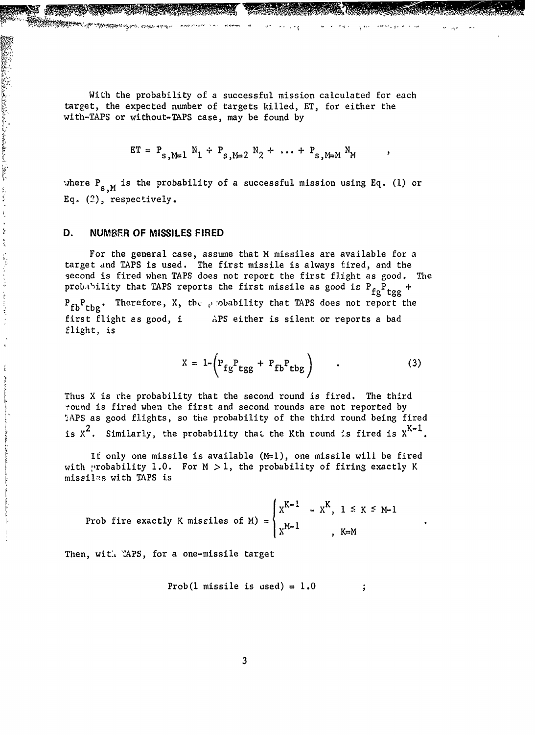With the probability of a successful mission calculated for each target, the expected number of targets killed, ET, for either the with-TAPS or without-TAPS case, may be found by

$$
ET = P_{s, M=1} N_1 + P_{s, M=2} N_2 + \cdots + P_{s, M=M} N_M
$$

where  $P_{s,M}$  is the probability of a successful mission using Eq. (1) or **Eq.** (2), respectively.

#### **D. NUMBER** OF **MISSILES** FIRED

AND CONTRACTORS AND CONTRACTORS AND CONTRACTORS CONTRACTORS

医子宫内

 $\bar{t}$  $\frac{1}{2}$ 

てんりじょし しゃしき しょうこく

 $\overset{\rightarrow}{\mathbf{t}}$ The state of

CARRIA CALLAND, ALLAND, INC.

For the general case, assume that M missiles are available for a target and TAPS is used. The first missile is always fired, and the second is fired when TAPS does not report the first flight as good. The probability that TAPS reports the first missile as good is  $P_{fg}P_{tgg}$  +

**fg** tgg **\*fb~** Therefore, X, tbK j,-obability that TAPS does not report the first flight as good, i APS either is silent or reports a bad flight, is

$$
X = 1 - \left( P_{fg} P_{tgg} + P_{fb} P_{tbg} \right) \qquad (3)
$$

 $\cdot$ 

Thus X is rhe probability that the second round is fired. The third round is fired when the first and second rounds are not reported by APS as good flights, so the probability of the third round being fired is  $x^2$ . Similarly, the probability that the Kth round is fired is  $x^{K-1}$ .

If only one missile is available  $(M=1)$ , one missile will be fired with probability 1.0. For  $M > 1$ , the probability of firing exactly K missiles with TAPS is

**Proof fire exactly K misciles of M**
$$
\begin{cases}\nX^{K-1} - X^K, \quad 1 \leq K \leq M-1 \\
X^{M-1} \quad , \quad K=M\n\end{cases}
$$

Then, with TAPS, for a one-missile target

$$
Prob(1 \text{ missile is used}) = 1.0
$$
 ;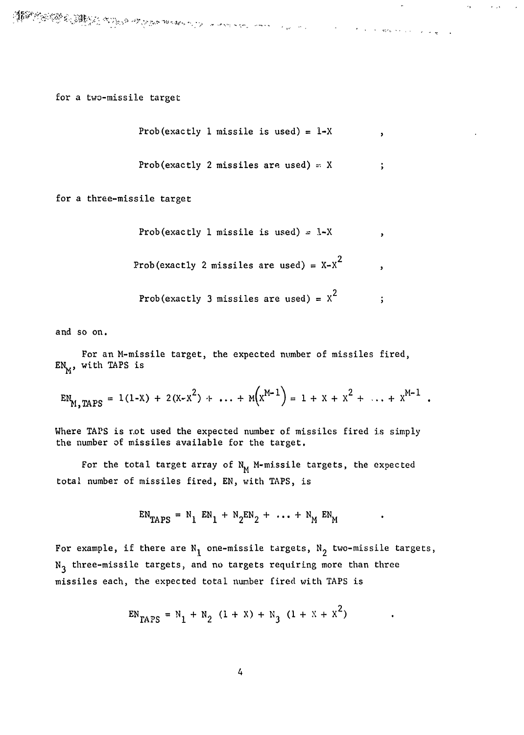for a two-missile target

Prob(exactly 1 missile is used) = 
$$
1-x
$$

and the control of the control of the state of the control of the control of the control of the control of the

 $\mathbf{r}$ 

 $\overline{\phantom{a}}$ 

 $\ddot{\cdot}$ 

$$
Prob(exactly 2 missiles are used) = X ;
$$

for a three-missile target

Prob(exactly 1 missile is used) =  $1-X$ 

Prob(exactly 2 missiles are used) =  $X-X^2$ 

Prob(exactly **3** missiles are used) = *X2*

and so on.

For an M-missile target, the expected number of missiles fired,  $EN_{M}$ , with TAPS is

$$
EN_{M, TAPS} = 1(1-X) + 2(X-X^2) + ... + M(X^{M-1}) = 1 + X + X^2 + ... + X^{M-1}
$$

Where TAPS is r.ot used the expected number of missiles fired is simply the number of missiles available for the target.

For the total target array of  $N_M$  M-missile targets, the expected total number of missiles fired, EN, with TAPS, is

$$
EN_{TAPS} = N_1 EN_1 + N_2 EN_2 + \dots + N_M EN_M
$$

For example, if there are  $N_1$  one-missile targets,  $N_2$  two-missile targets, N<sub>3</sub> three-missile targets, and no targets requiring more than three missiles each, the expected total number fired with TAPS is

$$
EN_{TAPS} = N_1 + N_2 (1 + X) + N_3 (1 + X + X^2)
$$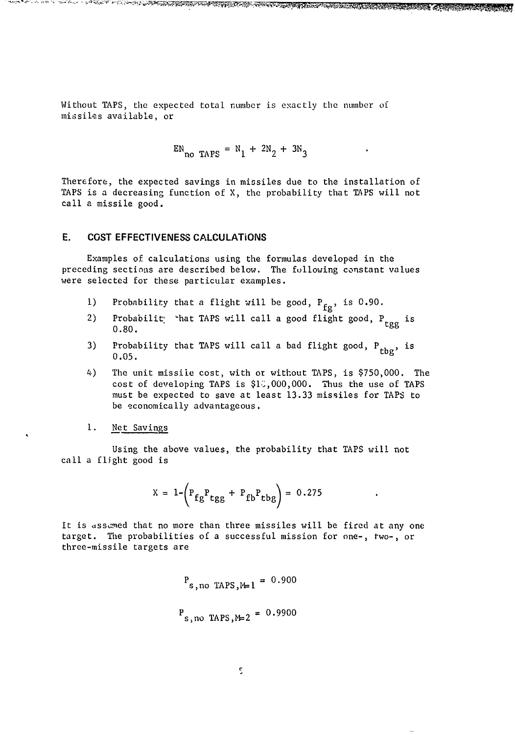Without TAPS, the expected total number is exactly the number of missiles available, or

$$
EN_{\text{no TAPS}} = N_1 + 2N_2 + 3N_3
$$

A THE COMPANY OF THE PARTIES OF THE COMPANY

Therefore, the expected savings in missiles due to the installation of TAPS is a decreasing function of X, the probability that TAPS will not call a missile good.

#### **E. COST EFFECTIVENESS CALCULATIONS**

وتوجه المخالفة المخالف والمعتمد المتناقص

<u>یک تام اور و</u>ی در

 $\mathcal{M}=\sum_{i=1}^n \frac{1}{2}$ 

**™**™™<del>™™™™™™™™™</del>

Examples of calculations using the formulas developed in the preceding sections are described below. The fullowing constant values were selected for these particular examples.

- 1) Probability that a flight will be good,  $P_{f\alpha}$ , is 0.90.
- 2) Probabilit 'hat TAPS will call a good flight good,  $P_{i}$  i  $0.80.$
- 3) Probability that TAPS will call a bad flight good,  $P_{\text{tbg}}$ , is 0.05.
- 4) The unit missile cost, with or without TAPS, is \$750,000. The cost of developing TAPS is  $$1^{\circ},000,000$ . Thus the use of TAPS must be expected to save at least 13.33 missiles for TAPS to be economically advantageous.
- I. Net Savings

Using the above values, the probability that TAPS will not call a flight good is

$$
X = 1 - \left( P_{fg} P_{tgg} + P_{fb} P_{tbg} \right) = 0.275
$$

It is assumed that no more than three missiles will be fired at any one target. The probabilities of a successful mission for one-, two-, or three-missile targets are

$$
P_{s, no \text{ TAPS}, M=1} = 0.900
$$
  
 $P_{s, no \text{ TAPS}, M=2} = 0.9900$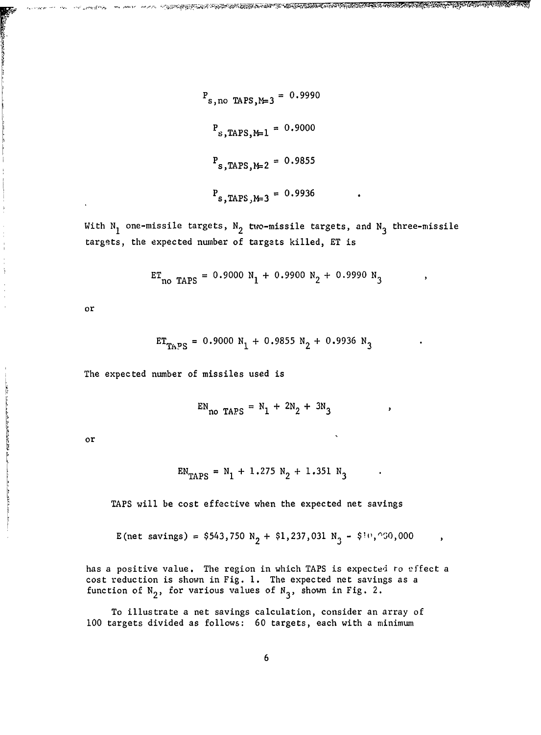$$
P_{s, \text{no TAPS}, M=3} = 0.9990
$$
  

$$
P_{s, \text{TAPS}, M=1} = 0.9000
$$
  

$$
P_{s, \text{TAPS}, M=2} = 0.9855
$$
  

$$
P_{s, \text{TAPS}, M=3} = 0.9936
$$

OSTANOVA SU NATIONALISTI KUNNY JA USAKING KINI TAIKIN TAIKIN TAIKIN KUNING KUNING TAIKIN TAIKIN TAIKIN TUNG KU

With N<sub>1</sub> one-missile targets, N<sub>2</sub> two-missile targets, and N<sub>3</sub> three-missile targets, the expected number of targets killed, ET is

$$
ET_{\text{no TAPS}} = 0.9000 N_1 + 0.9900 N_2 + 0.9990 N_3
$$

or

$$
ET_{TAPS} = 0.9000 N_1 + 0.9855 N_2 + 0.9936 N_3
$$

The expected number of missiles used is

$$
EN_{\text{no TAPS}} = N_1 + 2N_2 + 3N_3
$$

or

المستقد فكالا المحاولة بالعاري والتقديم المستعد المتقا

$$
EN_{TAPS} = N_1 + 1.275 N_2 + 1.351 N_3
$$

TAPS will be cost effective when the expected net savings

E(net savings) =  $$543,750 \text{ N}_2 + $1,237,031 \text{ N}_3 - $10,000$ 

has a positive value. The region in which TAPS is expected ro effect a cost reduction is shown in Fig. **1.** The expected net savings as a function of  $N_2$ , for various values of  $N_3$ , shown in Fig. 2.

To illustrate a net savings calculation, consider an array of **<sup>100</sup>**targets divided as follows: 60 targets, each with a minimum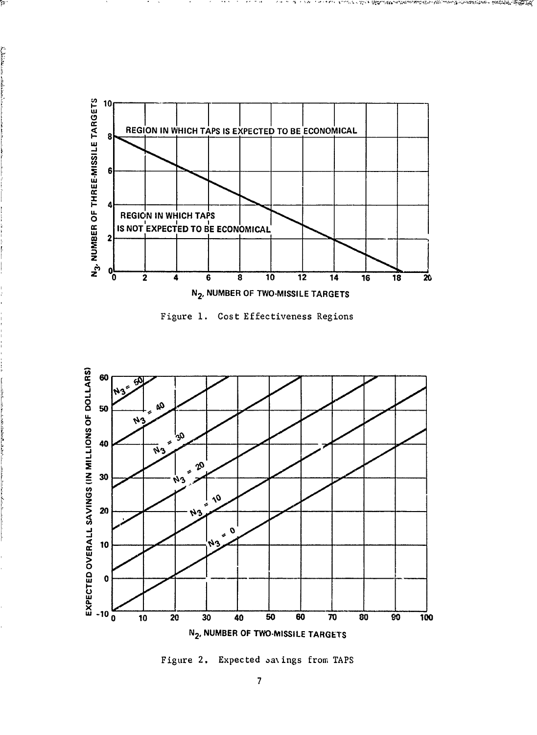![](_page_14_Figure_0.jpeg)

 $\bullet$  and  $\bullet$  and  $\bullet$ 

マチケル

イスル

i mezikari kultur birçin tazan da bazan bazan bazan baz

بمجانب <u>المواجهة</u>

þ.

**Eldridge** 

![](_page_14_Figure_1.jpeg)

![](_page_14_Figure_2.jpeg)

Figure 2. Expected savings from TAPS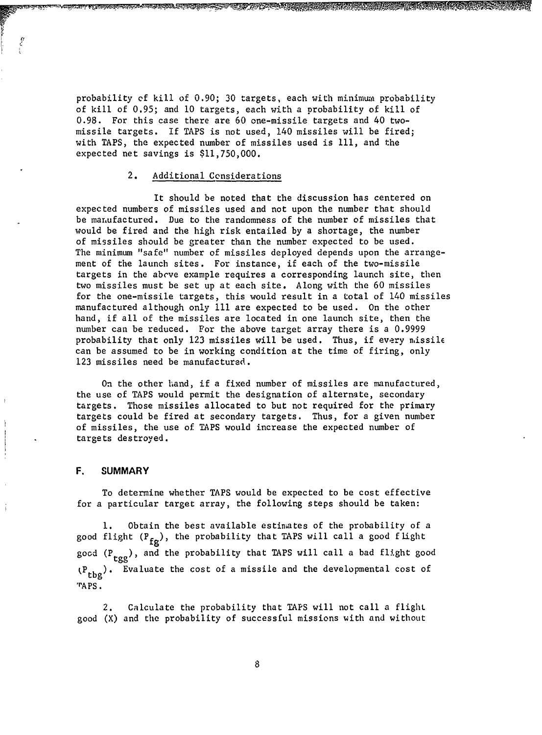probability **ef** kill of 0.90; 30 targets, each with minimum probability of kill of 0.95; and **10** targets, each with a probability of kill of 0.98. For this case there are 60 one-missile targets and 40 twomissile targets. If TAPS is not used, 140 missiles will be fired; with TAPS, the expected number of missiles used is **111,** and the expected net savings is \$11,750,000.

#### 2. Additional Considerations

It should be noted that the discussion has centered on expected numbers of missiles used and not upon the number that should be manufactured. Due to the randomness of the number of missiles that would be fired and the high risk entailed by a shortage, the number of missiles should be greater than the number expected to be used. The minimum "safe" number of missiles deployed depends upon the arrangement of the launch sites. For instance, if each of the two-missile targets in the above example requires a corresponding launch site, then two missiles must be set up at each site. Along with the 60 missiles for the one-missile targets, this would result in a total of 140 missiles manufactured although only **I11** are expected to be used. On the other hand, if all of the missiles are located in one launch site, then the number can be reduced. For the above target array there is a 0.9999 probability that only 123 missiles will be used. Thus, if every missile can be assumed to be in working condition at the time of firing, only 123 missiles need be manufactured.

On the other hand, if a fixed number of missiles are manufactured, the use of TAPS would permit the designation of alternate, secondary targets. Those missiles allocated to but not required for the primary targets could be fired at secondary targets. Thus, for a given number of missiles, the use of TAPS would increase the expected number of targets destroyed.

#### F. SUMMARY

To determine whether TAPS would be expected to be cost effective for a particular target array, the following steps should be taken:

**1.** Obtain the best available estimates of the probability of a good flight  $(P_{fg})$ , the probability that TAPS will call a good flight good  $(P_{\text{tgg}})$ , and the probability that TAPS will call a bad flight good (P<sub>tbg</sub>). Evaluate the cost of a missile and the developmental cost of 'rAPS.

2. Calculate the probability that TAPS will not call a flight good (X) and the probability of successful missions with and without